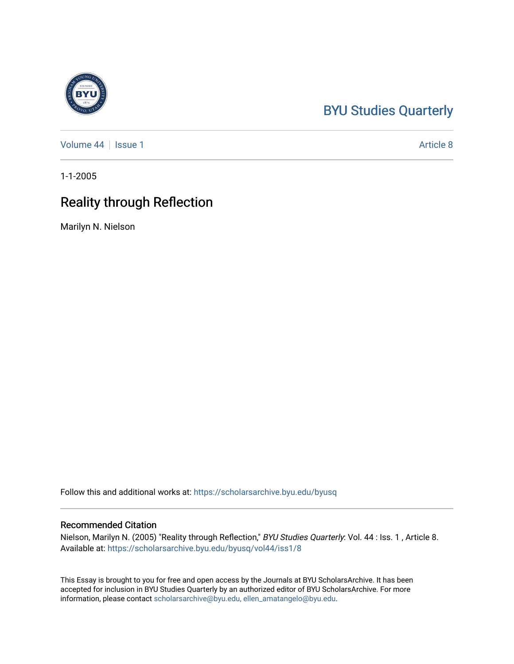# [BYU Studies Quarterly](https://scholarsarchive.byu.edu/byusq)

[Volume 44](https://scholarsarchive.byu.edu/byusq/vol44) | [Issue 1](https://scholarsarchive.byu.edu/byusq/vol44/iss1) Article 8

1-1-2005

# Reality through Reflection

Marilyn N. Nielson

Follow this and additional works at: [https://scholarsarchive.byu.edu/byusq](https://scholarsarchive.byu.edu/byusq?utm_source=scholarsarchive.byu.edu%2Fbyusq%2Fvol44%2Fiss1%2F8&utm_medium=PDF&utm_campaign=PDFCoverPages) 

## Recommended Citation

Nielson, Marilyn N. (2005) "Reality through Reflection," BYU Studies Quarterly: Vol. 44 : Iss. 1 , Article 8. Available at: [https://scholarsarchive.byu.edu/byusq/vol44/iss1/8](https://scholarsarchive.byu.edu/byusq/vol44/iss1/8?utm_source=scholarsarchive.byu.edu%2Fbyusq%2Fvol44%2Fiss1%2F8&utm_medium=PDF&utm_campaign=PDFCoverPages)

This Essay is brought to you for free and open access by the Journals at BYU ScholarsArchive. It has been accepted for inclusion in BYU Studies Quarterly by an authorized editor of BYU ScholarsArchive. For more information, please contact [scholarsarchive@byu.edu, ellen\\_amatangelo@byu.edu.](mailto:scholarsarchive@byu.edu,%20ellen_amatangelo@byu.edu)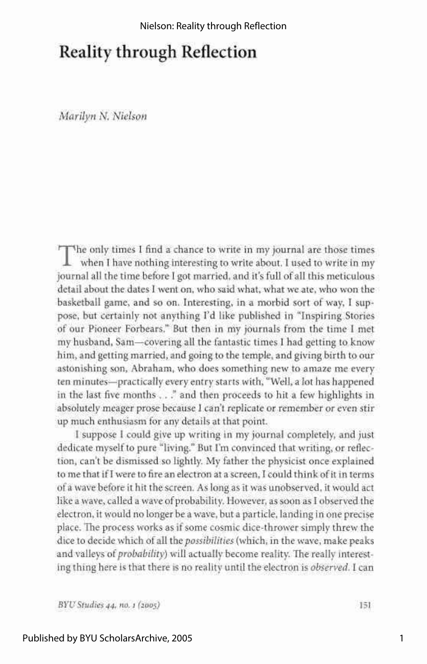## Reality through Reflection

*Marilyn N. Nielson* 

The only times I find a chance to write in my journal are those times when I have nothing interesting to write about. I used to write in my when I have nothing interesting to write about. I used to write in my journal all the time before I got married, and it's full of all this meticulous detail about the dates I went on, who said what, what we ate, who won the basketball game, and so on. Interesting, in a morbid sort of way, I suppose, but certainly not anything I'd like published in "Inspiring Stories of our Pioneer Forbears." But then in my journals from the time I met my husband, Sam—covering all the fantastic times I had getting to know him, and getting married, and going to the temple, and giving birth to our astonishing son, Abraham, who does something new to amaze me every ten minutes—practically every entry starts with, "Well, a lot has happened in the last five months . . ." and then proceeds to hit a few highlights in absolutely meager prose because I can't replicate or remember or even stir up much enthusiasm for any details at that point.

I suppose I could give up writing in my journal completely, and just dedicate myself to pure "living." But I'm convinced that writing, or reflection, can't be dismissed so lightly. My father the physicist once explained to me that if I were to fire an electron at a screen, I could think of it in terms of a wave before it hit the screen. As long as it was unobserved, it would act like a wave, called a wave of probability. However, as soon as I observed the electron, it would no longer be a wave, but a particle, landing in one precise place. The process works as if some cosmic dice-thrower simply threw the dice to decide which of all *the possibilities* (which, in the wave, make peaks and valleys *of probability)* will actually become reality. The really interesting thing here is that there is no reality until the electron is *observed.* I can

*BYU Studies 44, no. 1 (2005)* 151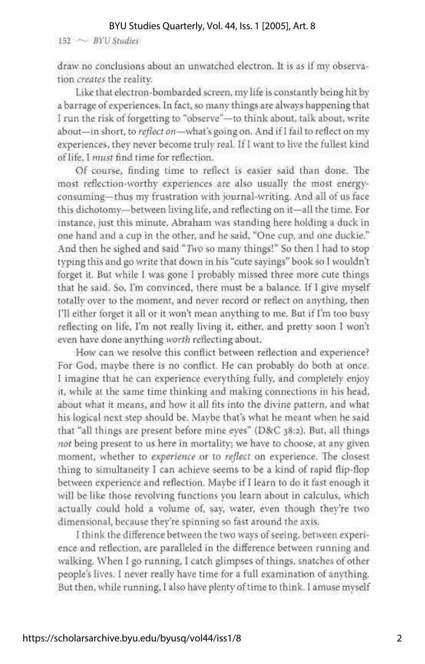#### BYU Studies Quarterly, Vol. 44, Iss. 1 [2005], Art. 8

152 ~ *BYU Studies* 

draw no conclusions about an unwatched electron. It is as if my observation *creates* the reality.

Like that electron-bombarded screen, my life is constantly being hit by a barrage of experiences. In fact, so many things are always happening that I run the risk of forgetting to "observe"—to think about, talk about, write about—in short, to *reflect on*—what's going on. And if I fail to reflect on my experiences, they never become truly real. If I want to live the fullest kind of life, I *must* find time for reflection.

Of course, finding time to reflect is easier said than done. The most reflection-worthy experiences are also usually the most energyconsuming—thus my frustration with journal-writing. And all of us face this dichotomv—between living life, and reflecting on it—all the time. For instance, just this minute, Abraham was standing here holding a duck in one hand and a cup in the other, and he said, "One cup, and one duckie." And then he sighed and said *"Two* so many things!" So then I had to stop typing this and go write that down in his "cute sayings" book so I wouldn't forget it. But while I was gone I probably missed three more cute things that he said. So, I'm convinced, there must be a balance. If I give myself totally over to the moment, and never record or reflect on anything, then I'll either forget it all or it won't mean anything to me. But if I'm too busy reflecting on life, I'm not really living it, either, and pretty soon I won't even have done anything *worth* reflecting about.

How can we resolve this conflict between reflection and experience? For God, maybe there is no conflict. He can probably do both at once. I imagine that he can experience everything fully, and completely enjoy it, while at the same time thinking and making connections in his head, about what it means, and how it all fits into the divine pattern, and what his logical next step should be. Maybe that's what he meant when he said that "all things are present before mine eyes" (D&C 38:2). But, all things *not* being present to us here in mortality; we have to choose, at any given moment, whether to *experience* or to *reflect* on experience. The closest thing to simultaneity I can achieve seems to be a kind of rapid flip-flop between experience and reflection. Maybe if I learn to do it fast enough it will be like those revolving functions you learn about in calculus, which actually could hold a volume of, say, water, even though they're two dimensional, because they're spinning so fast around the axis.

I think the difference between the two ways of seeing, between experience and reflection, are paralleled in the difference between running and walking. When I go running, I catch glimpses of things, snatches of other people's lives. I never really have time for a full examination of anything. But then, while running, I also have plenty of time to think. I amuse myself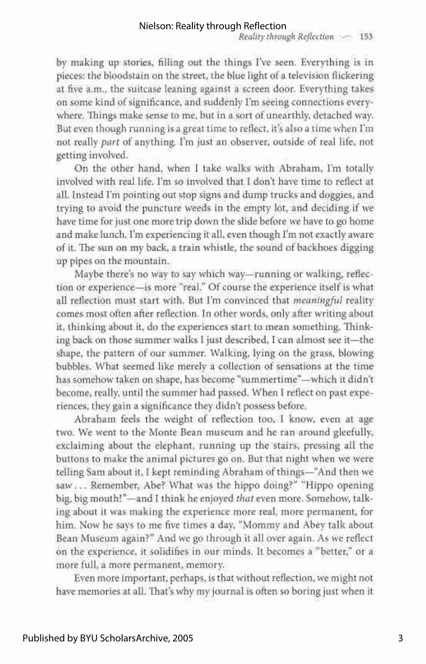by making up stories, filling out the things I've seen. Everything is in pieces: the bloodstain on the street, the blue light of a television flickering at five a.m., the suitcase leaning against a screen door. Everything takes on some kind of significance, and suddenly I'm seeing connections everywhere. Things make sense to me, but in a sort of unearthly, detached way. But even though running is a great time to reflect, it's also a time when I'm not really *part* of anything. I'm just an observer, outside of real life, not getting involved.

On the other hand, when I take walks with Abraham, I'm totally involved with real life. I'm so involved that I don't have time to reflect at all. Instead I'm pointing out stop signs and dump trucks and doggies, and trying to avoid the puncture weeds in the empty lot, and deciding if we have time for just one more trip down the slide before we have to go home and make lunch. I'm experiencing it all, even though I'm not exactly aware of it. The sun on my back, a train whistle, the sound of backhoes digging up pipes on the mountain.

Maybe there's no way to say which way—running or walking, reflection or experience—is more "real." Of course the experience itself is what all reflection must start with. But I'm convinced that *meaningful* reality comes most often after reflection. In other words, only after writing about it, thinking about it, do the experiences start to mean something. Thinking back on those summer walks I just described, I can almost see it—the shape, the pattern of our summer. Walking, lying on the grass, blowing bubbles. What seemed like merely a collection of sensations at the time has somehow taken on shape, has become "summertime"—which it didn't become, really, until the summer had passed. When I reflect on past experiences, they gain a significance they didn't possess before.

Abraham feels the weight of reflection too, I know, even at age two. We went to the Monte Bean museum and he ran around gleefully, exclaiming about the elephant, running up the stairs, pressing all the buttons to make the animal pictures go on. But that night when we were telling Sam about it, I kept reminding Abraham of things—"And then we saw... Remember, Abe? What was the hippo doing?" "Hippo opening big, big mouth!"—and I think he enjoyed *that* even more. Somehow, talking about it was making the experience more real, more permanent, for him. Now he says to me five times a day, "Mommy and Abey talk about Bean Museum again?" And we go through it all over again. As we reflect on the experience, it solidifies in our minds. It becomes a "better," or a more full, a more permanent, memory.

Even more important, perhaps, is that without reflection, we might not have memories at all. That's why my journal is often so boring just when it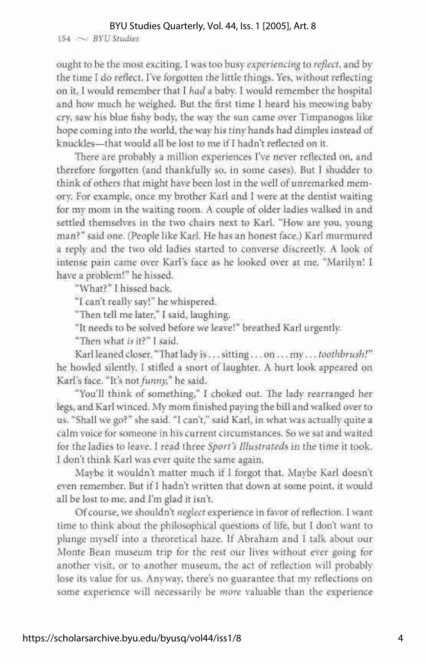### BYU Studies Quarterly, Vol. 44, Iss. 1 [2005], Art. 8

154 ~ *BYU Studies* 

ought to be the most exciting. I was too busy *experiencing* to *reflect,* and by the time I do reflect, I've forgotten the little things. Yes, without reflecting on it, I would remember that I *had* a baby. I would remember the hospital and how much he weighed. But the first time I heard his meowing baby cry, saw his blue fishy body, the way the sun came over Timpanogos like hope coming into the world, the way his tiny hands had dimples instead of knuckles—that would all be lost to me if I hadn't reflected on it.

There are probably a million experiences I've never reflected on, and therefore forgotten (and thankfully so, in some cases). But I shudder to think of others that might have been lost in the well of unremarked memory. For example, once my brother Karl and I were at the dentist waiting for my mom in the waiting room. A couple of older ladies walked in and settled themselves in the two chairs next to Karl. "How are you, young man?" said one. (People like Karl. He has an honest face.) Karl murmured a reply and the two old ladies started to converse discreetly. A look of intense pain came over Karl's face as he looked over at me. "Marilyn! I have a problem!" he hissed.

"What?" I hissed back.

"I can't really say!" he whispered.

"Then tell me later," I said, laughing.

"It needs to be solved before we leave!" breathed Karl urgently.

"Then what *is* it?" I said.

Karl leaned closer. "That lady is ... sitting... on ... my... *toothbrush!"*  he howled silently. I stifled a snort of laughter. A hurt look appeared on Karl's face. "It's not *funny,"* he said.

"You'll think of something," I choked out. The lady rearranged her legs, and Karl winced. My mom finished paying the bill and walked over to us. "Shall we go?" she said. "I can't," said Karl, in what was actually quite a calm voice for someone in his current circumstances. So we sat and waited for the ladies to leave. I read three *Sport's Illustrated^* in the time it took. I don't think Karl was ever quite the same again.

Maybe it wouldn't matter much if I forgot that. Maybe Karl doesn't even remember. But if I hadn't written that down at some point, it would all be lost to me, and I'm glad it isn't.

Of course, we shouldn't *neglect* experience in favor of reflection. I want time to think about the philosophical questions of life, but I don't want to plunge myself into a theoretical haze. If Abraham and I talk about our Monte Bean museum trip for the rest our lives without ever going for another visit, or to another museum, the act of reflection will probably lose its value for us. Anyway, there's no guarantee that my reflections on some experience will necessarily be *more* valuable than the experience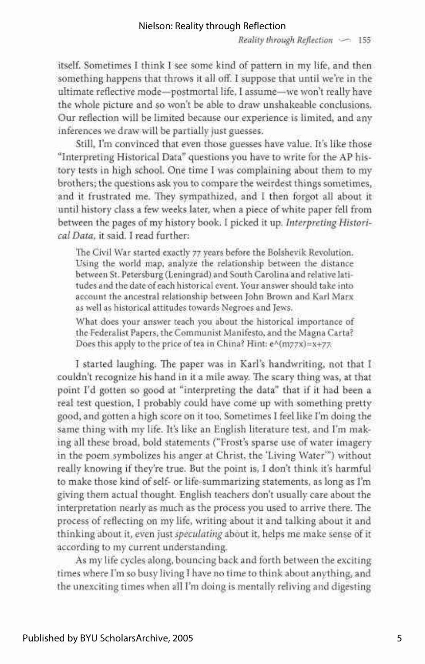itself. Sometimes I think I see some kind of pattern in my life, and then something happens that throws it all off. I suppose that until we're in the ultimate reflective mode—postmortal life, I assume—we won't really have the whole picture and so won't be able to draw unshakeable conclusions. Our reflection will be limited because our experience is limited, and any inferences we draw will be partially just guesses.

Still, I'm convinced that even those guesses have value. It's like those "Interpreting Historical Data" questions you have to write for the AP history tests in high school. One time I was complaining about them to my brothers; the questions ask you to compare the weirdest things sometimes, and it frustrated me. They sympathized, and I then forgot all about it until history class a few weeks later, when a piece of white paper fell from between the pages of my history book. I picked it up. *Interpreting Historical Data,* it said. I read further:

The Civil War started exactly 77 years before the Bolshevik Revolution. Using the world map, analyze the relationship between the distance between St. Petersburg (Leningrad) and South Carolina and relative latitudes and the date of each historical event. Your answer should take into account the ancestral relationship between John Brown and Karl Marx as well as historical attitudes towards Negroes and Jews.

What does your answer teach you about the historical importance of the Federalist Papers, the Communist Manifesto, and the Magna Carta? Does this apply to the price of tea in China? Hint: e^(m77x)=x+77.

I started laughing. The paper was in Karl's handwriting, not that I couldn't recognize his hand in it a mile away. The scary thing was, at that point I'd gotten so good at "interpreting the data" that if it had been a real test question, I probably could have come up with something pretty good, and gotten a high score on it too. Sometimes I feel like I'm doing the same thing with my life. It's like an English literature test, and I'm making all these broad, bold statements ("Frost's sparse use of water imagery in the poem symbolizes his anger at Christ, the 'Living Water'") without really knowing if they're true. But the point is, I don't think it's harmful to make those kind of self- or life-summarizing statements, as long as I'm giving them actual thought. English teachers don't usually care about the interpretation nearly as much as the process you used to arrive there. The process of reflecting on my life, writing about it and talking about it and thinking about it, even just *speculating* about it, helps me make sense of it according to my current understanding.

As my life cycles along, bouncing back and forth between the exciting times where I'm so busy living I have no time to think about anything, and the unexciting times when all I'm doing is mentally reliving and digesting